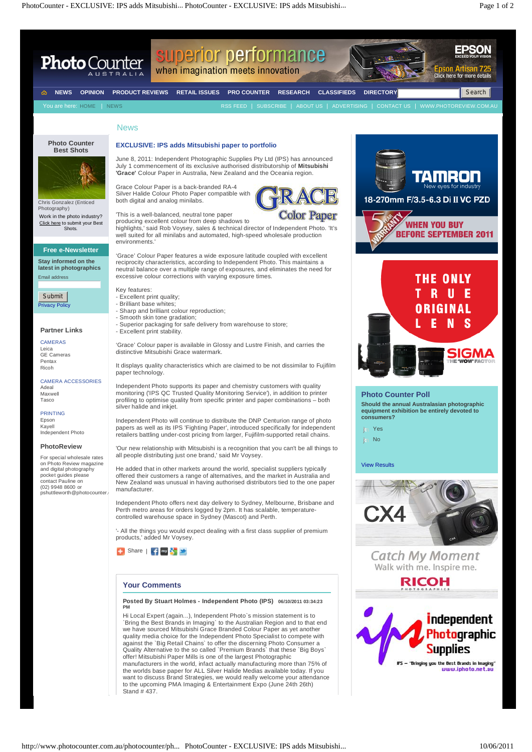## **Your Comments**

**Posted By Stuart Holmes - Independent Photo (IPS) 06/10/2011 03:34:23 PM**

Hi Local Expert (again...), Independent Photo`s mission statement is to `Bring the Best Brands in Imaging` to the Australian Region and to that end we have sourced Mitsubishi Grace Branded Colour Paper as yet another quality media choice for the Independent Photo Specialist to compete with against the `Big Retail Chains` to offer the discerning Photo Consumer a Quality Alternative to the so called `Premium Brands` that these `Big Boys` offer! Mitsubishi Paper Mills is one of the largest Photographic manufacturers in the world, infact actually manufacturing more than 75% of the worlds base paper for ALL Silver Halide Medias available today. If you want to discuss Brand Strategies, we would really welcome your attendance to the upcoming PMA Imaging & Entertainment Expo (June 24th 26th) Stand # 437.





http://www.photocounter.com.au/photocounter/ph... PhotoCounter - EXCLUSIVE: IPS adds Mitsubishi... 10/06/2011